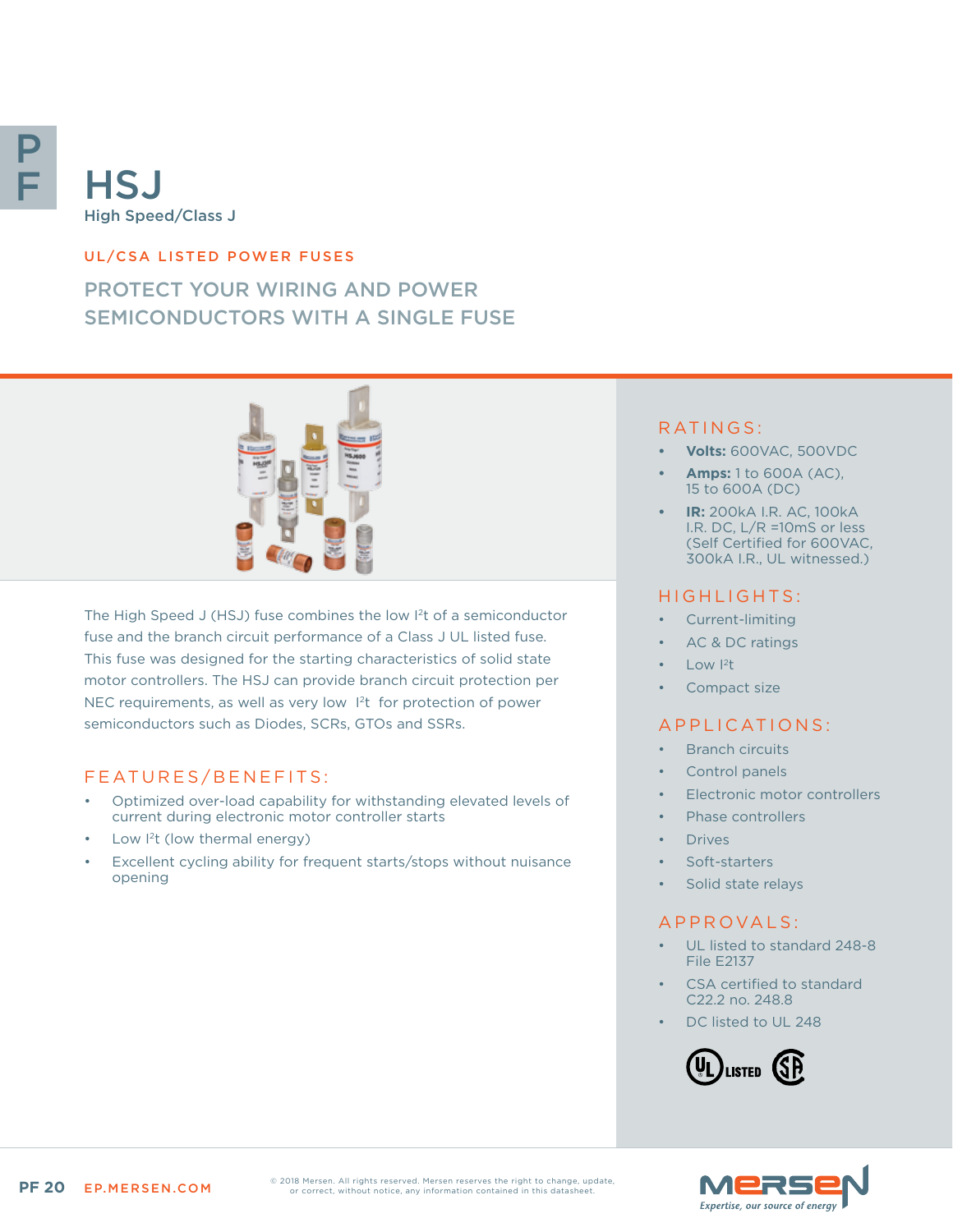

# **HSJ** High Speed/Class J

#### UL/CSA LISTED POWER FUSES

# PROTECT YOUR WIRING AND POWER SEMICONDUCTORS WITH A SINGLE FUSE



The High Speed J (HSJ) fuse combines the low I2t of a semiconductor fuse and the branch circuit performance of a Class J UL listed fuse. This fuse was designed for the starting characteristics of solid state motor controllers. The HSJ can provide branch circuit protection per NEC requirements, as well as very low 1<sup>2</sup>t for protection of power semiconductors such as Diodes, SCRs, GTOs and SSRs.

#### FEATURES/BENEFITS:

- Optimized over-load capability for withstanding elevated levels of current during electronic motor controller starts
- Low I<sup>2</sup>t (low thermal energy)
- Excellent cycling ability for frequent starts/stops without nuisance opening

### RATINGS:

- **• Volts:** 600VAC, 500VDC
- **• Amps:** 1 to 600A (AC), 15 to 600A (DC)
- **• IR:** 200kA I.R. AC, 100kA I.R. DC, L/R =10mS or less (Self Certified for 600VAC, 300kA I.R., UL witnessed.)

#### HIGHLIGHTS:

- Current-limiting
- AC & DC ratings
	- Low  $12t$
- Compact size

#### APPLICATIONS:

- **Branch circuits**
- Control panels
- Electronic motor controllers
- Phase controllers
- **Drives**
- Soft-starters
- Solid state relays

#### A P P R O V A L S :

- UL listed to standard 248-8 File E2137
- CSA certified to standard C22.2 no. 248.8
- DC listed to UL 248





© 2018 Mersen. All rights reserved. Mersen reserves the right to change, update, or correct, without notice, any information contained in this datasheet.